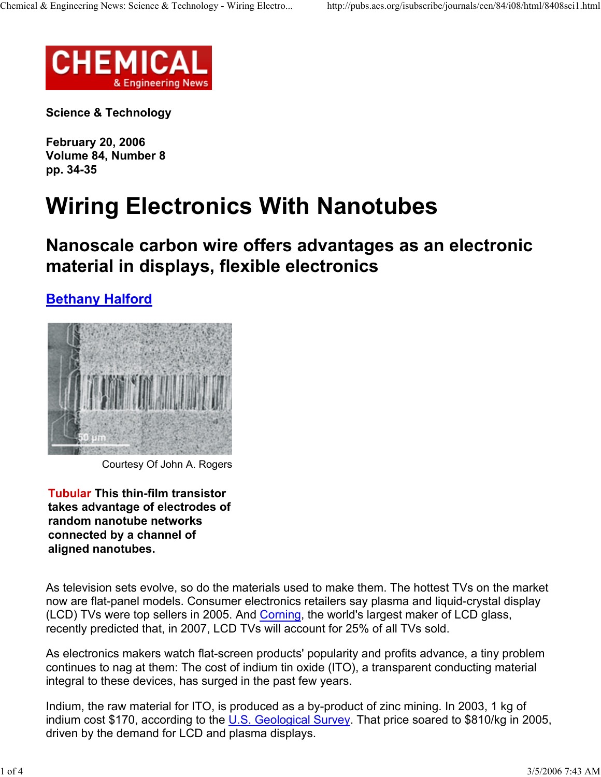

**Science & Technology**

**February 20, 2006 Volume 84, Number 8 pp. 34-35**

## **Wiring Electronics With Nanotubes**

**Nanoscale carbon wire offers advantages as an electronic material in displays, flexible electronics**

## **Bethany Halford**



Courtesy Of John A. Rogers

**Tubular This thin-film transistor takes advantage of electrodes of random nanotube networks connected by a channel of aligned nanotubes.**

As television sets evolve, so do the materials used to make them. The hottest TVs on the market now are flat-panel models. Consumer electronics retailers say plasma and liquid-crystal display (LCD) TVs were top sellers in 2005. And Corning, the world's largest maker of LCD glass, recently predicted that, in 2007, LCD TVs will account for 25% of all TVs sold.

As electronics makers watch flat-screen products' popularity and profits advance, a tiny problem continues to nag at them: The cost of indium tin oxide (ITO), a transparent conducting material integral to these devices, has surged in the past few years.

Indium, the raw material for ITO, is produced as a by-product of zinc mining. In 2003, 1 kg of indium cost \$170, according to the U.S. Geological Survey. That price soared to \$810/kg in 2005, driven by the demand for LCD and plasma displays.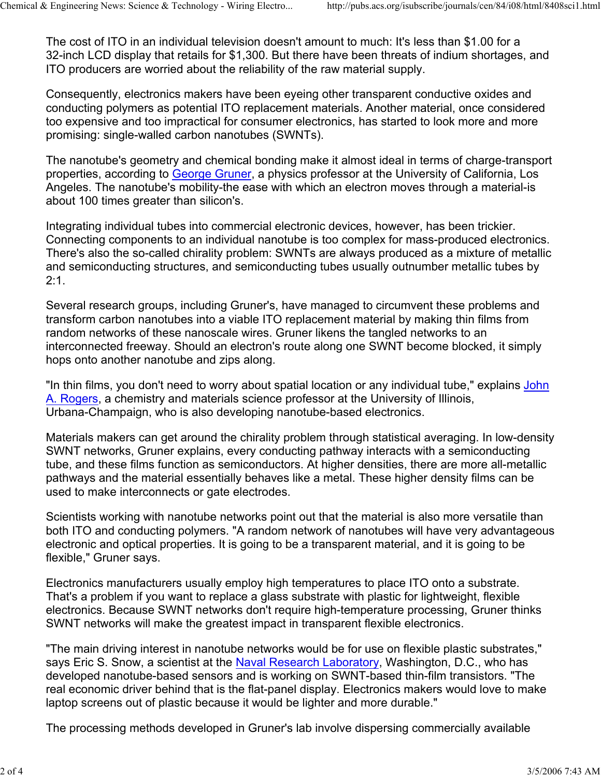The cost of ITO in an individual television doesn't amount to much: It's less than \$1.00 for a 32-inch LCD display that retails for \$1,300. But there have been threats of indium shortages, and ITO producers are worried about the reliability of the raw material supply.

Consequently, electronics makers have been eyeing other transparent conductive oxides and conducting polymers as potential ITO replacement materials. Another material, once considered too expensive and too impractical for consumer electronics, has started to look more and more promising: single-walled carbon nanotubes (SWNTs).

The nanotube's geometry and chemical bonding make it almost ideal in terms of charge-transport properties, according to George Gruner, a physics professor at the University of California, Los Angeles. The nanotube's mobility-the ease with which an electron moves through a material-is about 100 times greater than silicon's.

Integrating individual tubes into commercial electronic devices, however, has been trickier. Connecting components to an individual nanotube is too complex for mass-produced electronics. There's also the so-called chirality problem: SWNTs are always produced as a mixture of metallic and semiconducting structures, and semiconducting tubes usually outnumber metallic tubes by 2:1.

Several research groups, including Gruner's, have managed to circumvent these problems and transform carbon nanotubes into a viable ITO replacement material by making thin films from random networks of these nanoscale wires. Gruner likens the tangled networks to an interconnected freeway. Should an electron's route along one SWNT become blocked, it simply hops onto another nanotube and zips along.

"In thin films, you don't need to worry about spatial location or any individual tube," explains John A. Rogers, a chemistry and materials science professor at the University of Illinois, Urbana-Champaign, who is also developing nanotube-based electronics.

Materials makers can get around the chirality problem through statistical averaging. In low-density SWNT networks, Gruner explains, every conducting pathway interacts with a semiconducting tube, and these films function as semiconductors. At higher densities, there are more all-metallic pathways and the material essentially behaves like a metal. These higher density films can be used to make interconnects or gate electrodes.

Scientists working with nanotube networks point out that the material is also more versatile than both ITO and conducting polymers. "A random network of nanotubes will have very advantageous electronic and optical properties. It is going to be a transparent material, and it is going to be flexible," Gruner says.

Electronics manufacturers usually employ high temperatures to place ITO onto a substrate. That's a problem if you want to replace a glass substrate with plastic for lightweight, flexible electronics. Because SWNT networks don't require high-temperature processing, Gruner thinks SWNT networks will make the greatest impact in transparent flexible electronics.

"The main driving interest in nanotube networks would be for use on flexible plastic substrates," says Eric S. Snow, a scientist at the Naval Research Laboratory, Washington, D.C., who has developed nanotube-based sensors and is working on SWNT-based thin-film transistors. "The real economic driver behind that is the flat-panel display. Electronics makers would love to make laptop screens out of plastic because it would be lighter and more durable."

The processing methods developed in Gruner's lab involve dispersing commercially available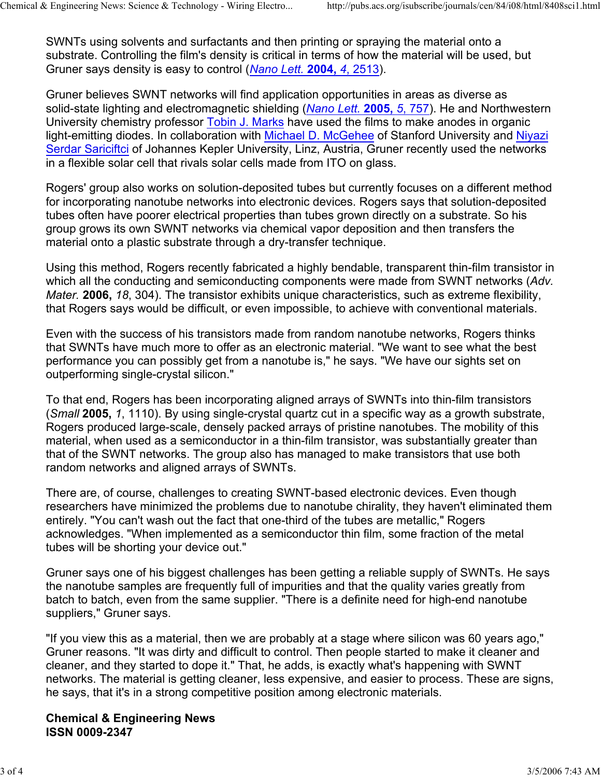SWNTs using solvents and surfactants and then printing or spraying the material onto a substrate. Controlling the film's density is critical in terms of how the material will be used, but Gruner says density is easy to control (*Nano Lett.* **2004,** *4*, 2513).

Gruner believes SWNT networks will find application opportunities in areas as diverse as solid-state lighting and electromagnetic shielding (*Nano Lett.* **2005,** *5*, 757). He and Northwestern University chemistry professor Tobin J. Marks have used the films to make anodes in organic light-emitting diodes. In collaboration with Michael D. McGehee of Stanford University and Niyazi Serdar Sariciftci of Johannes Kepler University, Linz, Austria, Gruner recently used the networks in a flexible solar cell that rivals solar cells made from ITO on glass.

Rogers' group also works on solution-deposited tubes but currently focuses on a different method for incorporating nanotube networks into electronic devices. Rogers says that solution-deposited tubes often have poorer electrical properties than tubes grown directly on a substrate. So his group grows its own SWNT networks via chemical vapor deposition and then transfers the material onto a plastic substrate through a dry-transfer technique.

Using this method, Rogers recently fabricated a highly bendable, transparent thin-film transistor in which all the conducting and semiconducting components were made from SWNT networks (*Adv. Mater.* **2006,** *18*, 304). The transistor exhibits unique characteristics, such as extreme flexibility, that Rogers says would be difficult, or even impossible, to achieve with conventional materials.

Even with the success of his transistors made from random nanotube networks, Rogers thinks that SWNTs have much more to offer as an electronic material. "We want to see what the best performance you can possibly get from a nanotube is," he says. "We have our sights set on outperforming single-crystal silicon."

To that end, Rogers has been incorporating aligned arrays of SWNTs into thin-film transistors (*Small* **2005,** *1*, 1110). By using single-crystal quartz cut in a specific way as a growth substrate, Rogers produced large-scale, densely packed arrays of pristine nanotubes. The mobility of this material, when used as a semiconductor in a thin-film transistor, was substantially greater than that of the SWNT networks. The group also has managed to make transistors that use both random networks and aligned arrays of SWNTs.

There are, of course, challenges to creating SWNT-based electronic devices. Even though researchers have minimized the problems due to nanotube chirality, they haven't eliminated them entirely. "You can't wash out the fact that one-third of the tubes are metallic," Rogers acknowledges. "When implemented as a semiconductor thin film, some fraction of the metal tubes will be shorting your device out."

Gruner says one of his biggest challenges has been getting a reliable supply of SWNTs. He says the nanotube samples are frequently full of impurities and that the quality varies greatly from batch to batch, even from the same supplier. "There is a definite need for high-end nanotube suppliers," Gruner says.

"If you view this as a material, then we are probably at a stage where silicon was 60 years ago," Gruner reasons. "It was dirty and difficult to control. Then people started to make it cleaner and cleaner, and they started to dope it." That, he adds, is exactly what's happening with SWNT networks. The material is getting cleaner, less expensive, and easier to process. These are signs, he says, that it's in a strong competitive position among electronic materials.

## **Chemical & Engineering News ISSN 0009-2347**